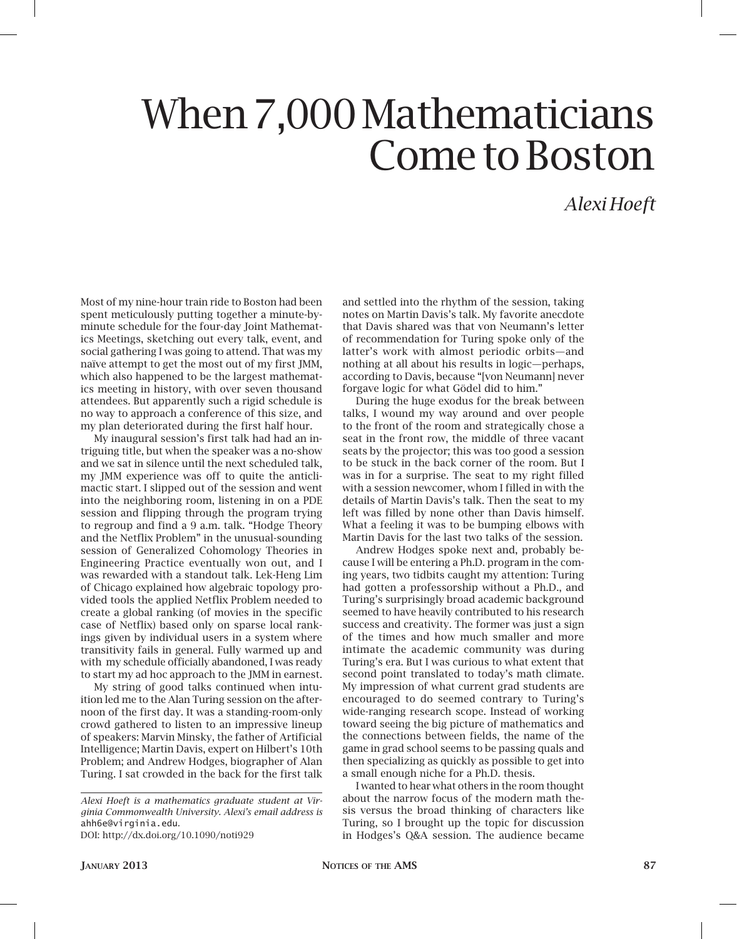## When 7,000 Mathematicians Come to Boston

## *Alexi Hoeft*

Most of my nine-hour train ride to Boston had been spent meticulously putting together a minute-byminute schedule for the four-day Joint Mathematics Meetings, sketching out every talk, event, and social gathering I was going to attend. That was my naïve attempt to get the most out of my first JMM, which also happened to be the largest mathematics meeting in history, with over seven thousand attendees. But apparently such a rigid schedule is no way to approach a conference of this size, and my plan deteriorated during the first half hour.

My inaugural session's first talk had had an intriguing title, but when the speaker was a no-show and we sat in silence until the next scheduled talk, my JMM experience was off to quite the anticlimactic start. I slipped out of the session and went into the neighboring room, listening in on a PDE session and flipping through the program trying to regroup and find a 9 a.m. talk. "Hodge Theory and the Netflix Problem" in the unusual-sounding session of Generalized Cohomology Theories in Engineering Practice eventually won out, and I was rewarded with a standout talk. Lek-Heng Lim of Chicago explained how algebraic topology provided tools the applied Netflix Problem needed to create a global ranking (of movies in the specific case of Netflix) based only on sparse local rankings given by individual users in a system where transitivity fails in general. Fully warmed up and with my schedule officially abandoned, I was ready to start my ad hoc approach to the JMM in earnest.

My string of good talks continued when intuition led me to the Alan Turing session on the afternoon of the first day. It was a standing-room-only crowd gathered to listen to an impressive lineup of speakers: Marvin Minsky, the father of Artificial Intelligence; Martin Davis, expert on Hilbert's 10th Problem; and Andrew Hodges, biographer of Alan Turing. I sat crowded in the back for the first talk

*Alexi Hoeft is a mathematics graduate student at Virginia Commonwealth University. Alexi's email address is*  ahh6e@virginia.edu*.* DOI: http://dx.doi.org/10.1090/noti929

and settled into the rhythm of the session, taking notes on Martin Davis's talk. My favorite anecdote that Davis shared was that von Neumann's letter of recommendation for Turing spoke only of the latter's work with almost periodic orbits—and nothing at all about his results in logic—perhaps, according to Davis, because "[von Neumann] never forgave logic for what Gödel did to him."

During the huge exodus for the break between talks, I wound my way around and over people to the front of the room and strategically chose a seat in the front row, the middle of three vacant seats by the projector; this was too good a session to be stuck in the back corner of the room. But I was in for a surprise. The seat to my right filled with a session newcomer, whom I filled in with the details of Martin Davis's talk. Then the seat to my left was filled by none other than Davis himself. What a feeling it was to be bumping elbows with Martin Davis for the last two talks of the session.

Andrew Hodges spoke next and, probably because I will be entering a Ph.D. program in the coming years, two tidbits caught my attention: Turing had gotten a professorship without a Ph.D., and Turing's surprisingly broad academic background seemed to have heavily contributed to his research success and creativity. The former was just a sign of the times and how much smaller and more intimate the academic community was during Turing's era. But I was curious to what extent that second point translated to today's math climate. My impression of what current grad students are encouraged to do seemed contrary to Turing's wide-ranging research scope. Instead of working toward seeing the big picture of mathematics and the connections between fields, the name of the game in grad school seems to be passing quals and then specializing as quickly as possible to get into a small enough niche for a Ph.D. thesis.

I wanted to hear what others in the room thought about the narrow focus of the modern math thesis versus the broad thinking of characters like Turing, so I brought up the topic for discussion in Hodges's Q&A session. The audience became